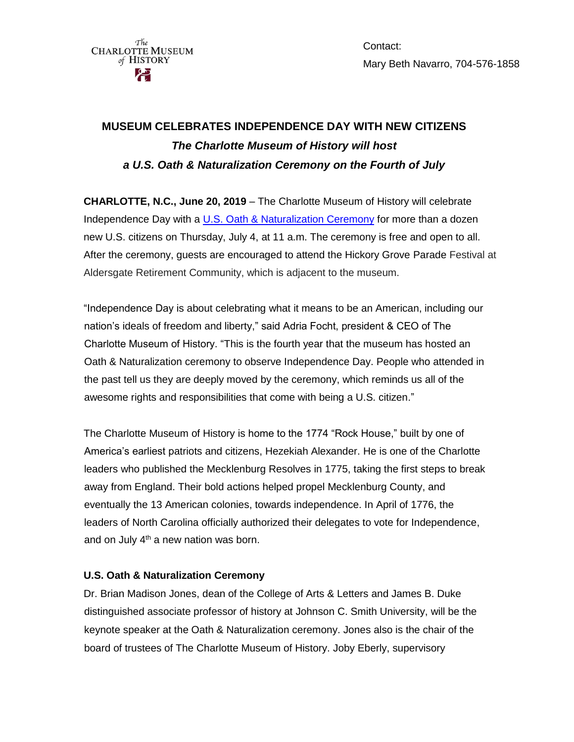$\overbrace{\text{CHARLOITE}}^{\text{The}}\text{MUSEUM}$ of HISTORY

Contact: Mary Beth Navarro, 704-576-1858

## **MUSEUM CELEBRATES INDEPENDENCE DAY WITH NEW CITIZENS** *The Charlotte Museum of History will host a U.S. Oath & Naturalization Ceremony on the Fourth of July*

**CHARLOTTE, N.C., June 20, 2019** – The Charlotte Museum of History will celebrate Independence Day with a [U.S. Oath & Naturalization Ceremony](https://www.uscis.gov/us-citizenship/naturalization-test/naturalization-oath-allegiance-united-states-america) for more than a dozen new U.S. citizens on Thursday, July 4, at 11 a.m. The ceremony is free and open to all. After the ceremony, guests are encouraged to attend the Hickory Grove Parade Festival at Aldersgate Retirement Community, which is adjacent to the museum.

"Independence Day is about celebrating what it means to be an American, including our nation's ideals of freedom and liberty," said Adria Focht, president & CEO of The Charlotte Museum of History. "This is the fourth year that the museum has hosted an Oath & Naturalization ceremony to observe Independence Day. People who attended in the past tell us they are deeply moved by the ceremony, which reminds us all of the awesome rights and responsibilities that come with being a U.S. citizen."

The Charlotte Museum of History is home to the 1774 "Rock House," built by one of America's earliest patriots and citizens, Hezekiah Alexander. He is one of the Charlotte leaders who published the Mecklenburg Resolves in 1775, taking the first steps to break away from England. Their bold actions helped propel Mecklenburg County, and eventually the 13 American colonies, towards independence. In April of 1776, the leaders of North Carolina officially authorized their delegates to vote for Independence, and on July  $4<sup>th</sup>$  a new nation was born.

## **U.S. Oath & Naturalization Ceremony**

Dr. Brian Madison Jones, dean of the College of Arts & Letters and James B. Duke distinguished associate professor of history at Johnson C. Smith University, will be the keynote speaker at the Oath & Naturalization ceremony. Jones also is the chair of the board of trustees of The Charlotte Museum of History. Joby Eberly, supervisory